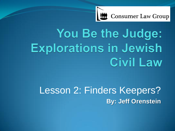

# You Be the Judge: **Explorations in Jewish Civil Law**

# Lesson 2: Finders Keepers? **By: Jeff Orenstein**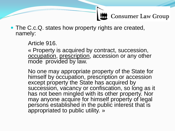• The C.c.Q. states how property rights are created, namely:

Article 916.

« Property is acquired by contract, succession, occupation, prescription, accession or any other mode provided by law.

No one may appropriate property of the State for himself by occupation, prescription or accession except property the State has acquired by succession, vacancy or confiscation, so long as it has not been mingled with its other property. Nor may anyone acquire for himself property of legal persons established in the public interest that is appropriated to public utility. »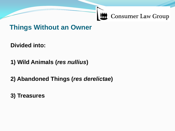#### **Things Without an Owner**

**Divided into:**

**1) Wild Animals (***res nullius***)**

**2) Abandoned Things (***res derelictae***)**

**3) Treasures**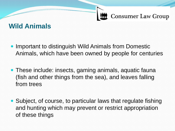#### **Wild Animals**

- Important to distinguish Wild Animals from Domestic Animals, which have been owned by people for centuries
- These include: insects, gaming animals, aquatic fauna (fish and other things from the sea), and leaves falling from trees
- Subject, of course, to particular laws that regulate fishing and hunting which may prevent or restrict appropriation of these things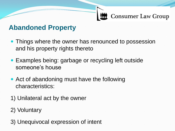#### **Abandoned Property**

- Things where the owner has renounced to possession and his property rights thereto
- Examples being: garbage or recycling left outside someone's house
- Act of abandoning must have the following characteristics:
- 1) Unilateral act by the owner
- 2) Voluntary
- 3) Unequivocal expression of intent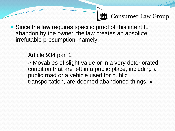• Since the law requires specific proof of this intent to abandon by the owner, the law creates an absolute irrefutable presumption, namely:

#### Article 934 par. 2

« Movables of slight value or in a very deteriorated condition that are left in a public place, including a public road or a vehicle used for public transportation, are deemed abandoned things. »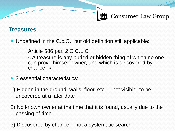#### **Treasures**

• Undefined in the C.c.Q., but old definition still applicable:

Article 586 par. 2 C.C.L.C

« A treasure is any buried or hidden thing of which no one can prove himself owner, and which is discovered by chance. »

- 3 essential characteristics:
- 1) Hidden in the ground, walls, floor, etc. -- not visible, to be uncovered at a later date
- 2) No known owner at the time that it is found, usually due to the passing of time
- 3) Discovered by chance not a systematic search
-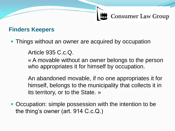#### **Finders Keepers**

• Things without an owner are acquired by occupation

Article 935 C.c.Q.

« A movable without an owner belongs to the person who appropriates it for himself by occupation.

An abandoned movable, if no one appropriates it for himself, belongs to the municipality that collects it in its territory, or to the State. »

• Occupation: simple possession with the intention to be the thing's owner (art. 914 C.c.Q.)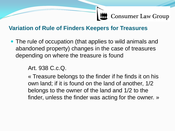#### **Variation of Rule of Finders Keepers for Treasures**

• The rule of occupation (that applies to wild animals and abandoned property) changes in the case of treasures depending on where the treasure is found

Art. 938 C.c.Q.

« Treasure belongs to the finder if he finds it on his own land; if it is found on the land of another, 1/2 belongs to the owner of the land and 1/2 to the finder, unless the finder was acting for the owner. »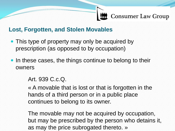#### **Lost, Forgotten, and Stolen Movables**

- This type of property may only be acquired by prescription (as opposed to by occupation)
- In these cases, the things continue to belong to their owners

Art. 939 C.c.Q.

« A movable that is lost or that is forgotten in the hands of a third person or in a public place continues to belong to its owner.

The movable may not be acquired by occupation, but may be prescribed by the person who detains it, as may the price subrogated thereto. »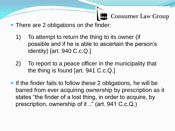- There are 2 obligations on the finder:
	- 1) To attempt to return the thing to its owner (if possible and if he is able to ascertain the person's identity) [art. 940 C.c.Q.]
	- 2) To report to a peace officer in the municipality that the thing is found [art. 941 C.c.Q.]
- If the finder fails to follow these 2 obligations, he will be barred from ever acquiring ownership by prescription as it states "the finder of a lost thing, in order to acquire, by prescription, ownership of it .." (art. 941 C.c.Q.)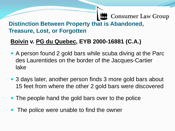#### **Consumer Law Group Distinction Between Property that is Abandoned, Treasure, Lost, or Forgotten**

#### **Boivin v. PG du Quebec, EYB 2000-16881 (C.A.)**

- A person found 2 gold bars while scuba diving at the Parc des Laurentides on the border of the Jacques-Cartier lake
- 3 days later, another person finds 3 more gold bars about 15 feet from where the other 2 gold bars were discovered
- The people hand the gold bars over to the police
- The police were unable to find the owner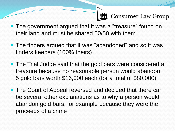- The government argued that it was a "treasure" found on their land and must be shared 50/50 with them
- The finders argued that it was "abandoned" and so it was finders keepers (100% theirs)
- The Trial Judge said that the gold bars were considered a treasure because no reasonable person would abandon 5 gold bars worth \$16,000 each (for a total of \$80,000)
- The Court of Appeal reversed and decided that there can be several other explanations as to why a person would abandon gold bars, for example because they were the proceeds of a crime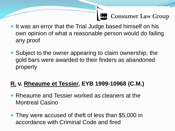- It was an error that the Trial Judge based himself on his own opinion of what a reasonable person would do failing any proof
- Subject to the owner appearing to claim ownership, the gold bars were awarded to their finders as abandoned property

#### **R. v. Rheaume et Tessier, EYB 1999-10968 (C.M.)**

- Rheaume and Tessier worked as cleaners at the Montreal Casino
- They were accused of theft of less than \$5,000 in accordance with Criminal Code and fired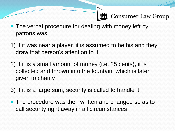- The verbal procedure for dealing with money left by patrons was:
- 1) If it was near a player, it is assumed to be his and they draw that person's attention to it
- 2) If it is a small amount of money (i.e. 25 cents), it is collected and thrown into the fountain, which is later given to charity
- 3) If it is a large sum, security is called to handle it
- The procedure was then written and changed so as to call security right away in all circumstances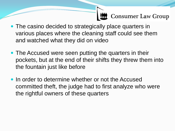- The casino decided to strategically place quarters in various places where the cleaning staff could see them and watched what they did on video
- The Accused were seen putting the quarters in their pockets, but at the end of their shifts they threw them into the fountain just like before
- In order to determine whether or not the Accused committed theft, the judge had to first analyze who were the rightful owners of these quarters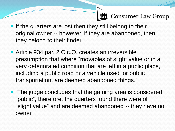- If the quarters are lost then they still belong to their original owner -- however, if they are abandoned, then they belong to their finder
- Article 934 par. 2 C.c.Q. creates an irreversible presumption that where "movables of slight value or in a very deteriorated condition that are left in a public place, including a public road or a vehicle used for public transportation, are deemed abandoned things."
- The judge concludes that the gaming area is considered "public", therefore, the quarters found there were of "slight value" and are deemed abandoned -- they have no owner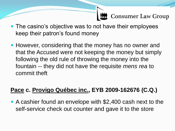- The casino's objective was to not have their employees keep their patron's found money
- However, considering that the money has no owner and that the Accused were not keeping the money but simply following the old rule of throwing the money into the fountain -- they did not have the requisite *mens rea* to commit theft

#### **Pace c. Provigo Québec inc., EYB 2009-162676 (C.Q.)**

 A cashier found an envelope with \$2,400 cash next to the self-service check out counter and gave it to the store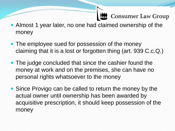- Almost 1 year later, no one had claimed ownership of the money
- The employee sued for possession of the money claiming that it is a lost or forgotten thing (art. 939 C.c.Q.)
- The judge concluded that since the cashier found the money at work and on the premises, she can have no personal rights whatsoever to the money
- Since Provigo can be called to return the money by the actual owner until ownership has been awarded by acquisitive prescription, it should keep possession of the money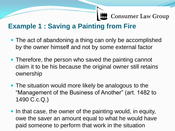#### **Example 1 : Saving a Painting from Fire**

- The act of abandoning a thing can only be accomplished by the owner himself and not by some external factor
- Therefore, the person who saved the painting cannot claim it to be his because the original owner still retains ownership
- The situation would more likely be analogous to the "Management of the Business of Another" (art. 1482 to 1490 C.c.Q.)
- In that case, the owner of the painting would, in equity, owe the saver an amount equal to what he would have paid someone to perform that work in the situation
-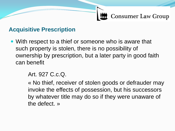#### **Acquisitive Prescription**

 With respect to a thief or someone who is aware that such property is stolen, there is no possibility of ownership by prescription, but a later party in good faith can benefit

#### Art. 927 C.c.Q.

« No thief, receiver of stolen goods or defrauder may invoke the effects of possession, but his successors by whatever title may do so if they were unaware of the defect. »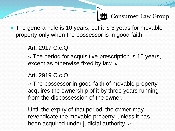• The general rule is 10 years, but it is 3 years for movable property only when the possessor is in good faith

Art. 2917 C.c.Q.

« The period for acquisitive prescription is 10 years, except as otherwise fixed by law. »

#### Art. 2919 C.c.Q.

« The possessor in good faith of movable property acquires the ownership of it by three years running from the dispossession of the owner.

Until the expiry of that period, the owner may revendicate the movable property, unless it has been acquired under judicial authority. »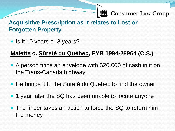#### **Acquisitive Prescription as it relates to Lost or Forgotten Property**

• Is it 10 years or 3 years?

#### **Malette c. Sûreté du Québec, EYB 1994-28964 (C.S.)**

- A person finds an envelope with \$20,000 of cash in it on the Trans-Canada highway
- He brings it to the Sûreté du Québec to find the owner
- 1 year later the SQ has been unable to locate anyone
- The finder takes an action to force the SQ to return him the money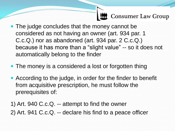- The judge concludes that the money cannot be considered as not having an owner (art. 934 par. 1 C.c.Q.) nor as abandoned (art. 934 par. 2 C.c.Q.) because it has more than a "slight value" -- so it does not automatically belong to the finder
- The money is a considered a lost or forgotten thing
- According to the judge, in order for the finder to benefit from acquisitive prescription, he must follow the prerequisites of:
- 1) Art. 940 C.c.Q. -- attempt to find the owner 2) Art. 941 C.c.Q. -- declare his find to a peace officer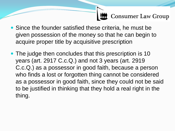- Since the founder satisfied these criteria, he must be given possession of the money so that he can begin to acquire proper title by acquisitive prescription
- The judge then concludes that this prescription is 10 years (art. 2917 C.c.Q.) and not 3 years (art. 2919 C.c.Q.) as a possessor in good faith, because a person who finds a lost or forgotten thing cannot be considered as a possessor in good faith, since they could not be said to be justified in thinking that they hold a real right in the thing.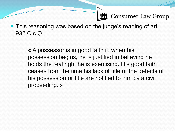• This reasoning was based on the judge's reading of art. 932 C.c.Q.

> « A possessor is in good faith if, when his possession begins, he is justified in believing he holds the real right he is exercising. His good faith ceases from the time his lack of title or the defects of his possession or title are notified to him by a civil proceeding. »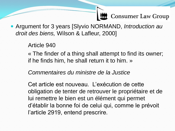Argument for 3 years [Slyvio NORMAND, *Introduction au droit des biens,* Wilson & Lafleur, 2000]

Article 940

« The finder of a thing shall attempt to find its owner; if he finds him, he shall return it to him. »

*Commentaires du ministre de la Justice*

Cet article est nouveau. L'exécution de cette obligation de tenter de retrouver le propriétaire et de lui remettre le bien est un élément qui permet d'établir la bonne foi de celui qui, comme le prévoit l'article 2919, entend prescrire.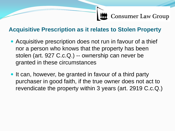#### **Acquisitive Prescription as it relates to Stolen Property**

- Acquisitive prescription does not run in favour of a thief nor a person who knows that the property has been stolen (art. 927 C.c.Q.) -- ownership can never be granted in these circumstances
- It can, however, be granted in favour of a third party purchaser in good faith, if the true owner does not act to revendicate the property within 3 years (art. 2919 C.c.Q.)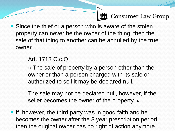• Since the thief or a person who is aware of the stolen property can never be the owner of the thing, then the sale of that thing to another can be annulled by the true owner

#### Art. 1713 C.c.Q.

« The sale of property by a person other than the owner or than a person charged with its sale or authorized to sell it may be declared null.

The sale may not be declared null, however, if the seller becomes the owner of the property. »

• If, however, the third party was in good faith and he becomes the owner after the 3 year prescription period, then the original owner has no right of action anymore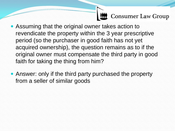- Assuming that the original owner takes action to revendicate the property within the 3 year prescriptive period (so the purchaser in good faith has not yet acquired ownership), the question remains as to if the original owner must compensate the third party in good faith for taking the thing from him?
- Answer: only if the third party purchased the property from a seller of similar goods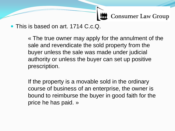• This is based on art. 1714 C.c.Q.

« The true owner may apply for the annulment of the sale and revendicate the sold property from the buyer unless the sale was made under judicial authority or unless the buyer can set up positive prescription.

If the property is a movable sold in the ordinary course of business of an enterprise, the owner is bound to reimburse the buyer in good faith for the price he has paid. »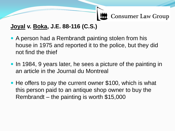#### **Joyal v. Boka, J.E. 88-116 (C.S.)**

- A person had a Rembrandt painting stolen from his house in 1975 and reported it to the police, but they did not find the thief
- In 1984, 9 years later, he sees a picture of the painting in an article in the Journal du Montreal
- He offers to pay the current owner \$100, which is what this person paid to an antique shop owner to buy the Rembrandt – the painting is worth \$15,000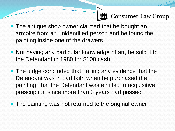- The antique shop owner claimed that he bought an armoire from an unidentified person and he found the painting inside one of the drawers
- Not having any particular knowledge of art, he sold it to the Defendant in 1980 for \$100 cash
- The judge concluded that, failing any evidence that the Defendant was in bad faith when he purchased the painting, that the Defendant was entitled to acquisitive prescription since more than 3 years had passed
- The painting was not returned to the original owner